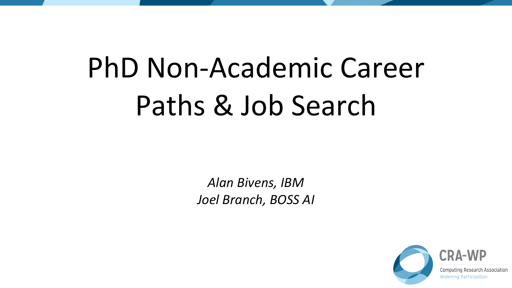# PhD Non-Academic Career Paths & Job Search

*Alan Bivens, IBM Joel Branch, BOSS AI*

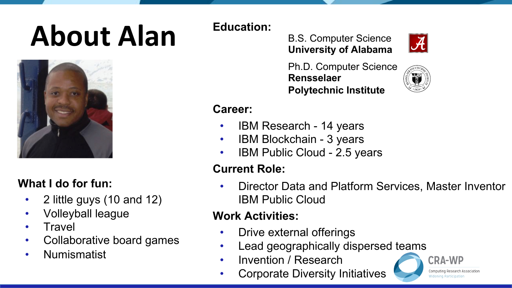# **About Alan Education:**



#### **What I do for fun:**

- 2 little guys (10 and 12)
- Volleyball league
- **Travel**
- Collaborative board games
- Numismatist

B.S. Computer Science **University of Alabama**



Ph.D. Computer Science **Rensselaer Polytechnic Institute**



#### **Career:**

- IBM Research 14 years
- IBM Blockchain 3 years
- IBM Public Cloud 2.5 years

#### **Current Role:**

• Director Data and Platform Services, Master Inventor IBM Public Cloud

#### **Work Activities:**

- Drive external offerings
- Lead geographically dispersed teams
- Invention / Research
- Corporate Diversity Initiatives

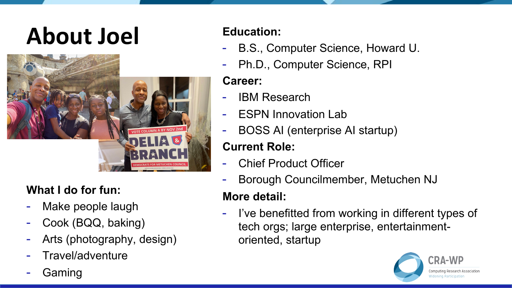## **About Joel Education:**



#### **What I do for fun:**

- Make people laugh
- Cook (BQQ, baking)
- Arts (photography, design)
- Travel/adventure
- **Gaming**

- B.S., Computer Science, Howard U.
- Ph.D., Computer Science, RPI

#### **Career:**

- IBM Research
- ESPN Innovation Lab
- BOSS AI (enterprise AI startup)

#### **Current Role:**

- **Chief Product Officer**
- Borough Councilmember, Metuchen NJ

#### **More detail:**

- I've benefitted from working in different types of tech orgs; large enterprise, entertainmentoriented, startup

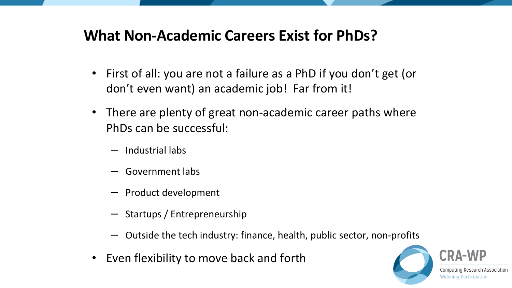#### **What Non-Academic Careers Exist for PhDs?**

- First of all: you are not a failure as a PhD if you don't get (or don't even want) an academic job! Far from it!
- There are plenty of great non-academic career paths where PhDs can be successful:
	- Industrial labs
	- Government labs
	- Product development
	- Startups / Entrepreneurship
	- Outside the tech industry: finance, health, public sector, non-profits
- Even flexibility to move back and forth

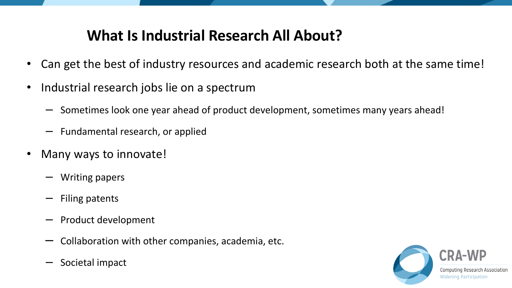#### **What Is Industrial Research All About?**

- Can get the best of industry resources and academic research both at the same time!
- Industrial research jobs lie on a spectrum
	- Sometimes look one year ahead of product development, sometimes many years ahead!
	- Fundamental research, or applied
- Many ways to innovate!
	- Writing papers
	- Filing patents
	- Product development
	- Collaboration with other companies, academia, etc.
	- Societal impact

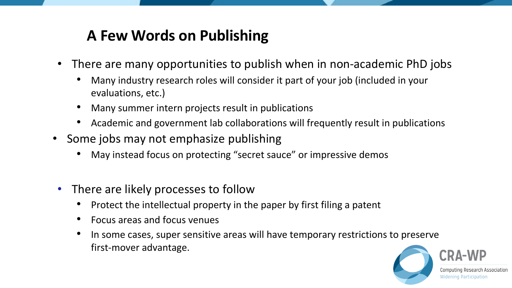### **A Few Words on Publishing**

- There are many opportunities to publish when in non-academic PhD jobs
	- Many industry research roles will consider it part of your job (included in your evaluations, etc.)
	- Many summer intern projects result in publications
	- Academic and government lab collaborations will frequently result in publications
- Some jobs may not emphasize publishing
	- May instead focus on protecting "secret sauce" or impressive demos
- There are likely processes to follow
	- Protect the intellectual property in the paper by first filing a patent
	- Focus areas and focus venues
	- In some cases, super sensitive areas will have temporary restrictions to preserve first-mover advantage.

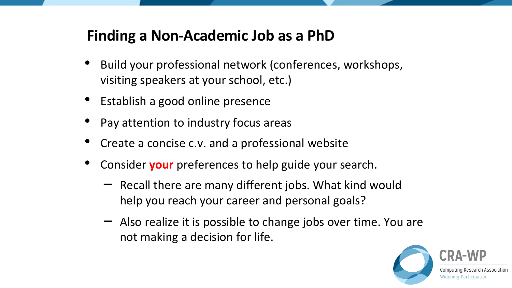#### **Finding a Non-Academic Job as a PhD**

- Build your professional network (conferences, workshops, visiting speakers at your school, etc.)
- Establish a good online presence
- Pay attention to industry focus areas
- Create a concise c.v. and a professional website
- Consider **your** preferences to help guide your search.
	- Recall there are many different jobs. What kind would help you reach your career and personal goals?
	- Also realize it is possible to change jobs over time. You are not making a decision for life.

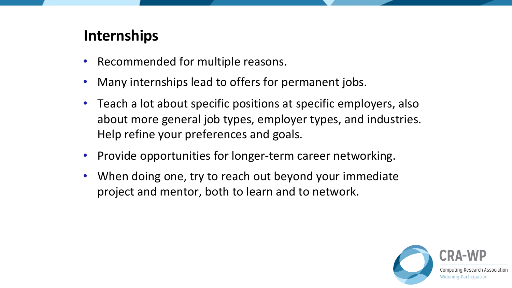#### **Internships**

- Recommended for multiple reasons.
- Many internships lead to offers for permanent jobs.
- Teach a lot about specific positions at specific employers, also about more general job types, employer types, and industries. Help refine your preferences and goals.
- Provide opportunities for longer-term career networking.
- When doing one, try to reach out beyond your immediate project and mentor, both to learn and to network.

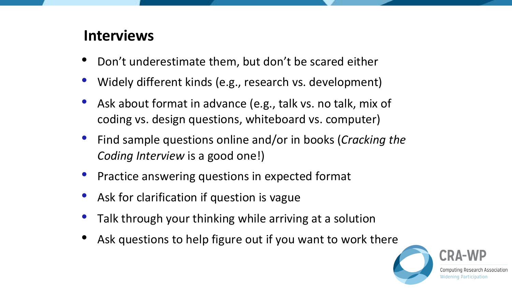#### **Interviews**

- Don't underestimate them, but don't be scared either
- Widely different kinds (e.g., research vs. development)
- Ask about format in advance (e.g., talk vs. no talk, mix of coding vs. design questions, whiteboard vs. computer)
- Find sample questions online and/or in books (*Cracking the Coding Interview* is a good one!)
- Practice answering questions in expected format
- Ask for clarification if question is vague
- Talk through your thinking while arriving at a solution
- Ask questions to help figure out if you want to work there

Research Association **Widening Participation**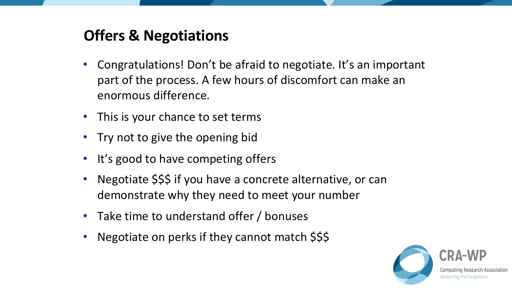#### **Offers & Negotiations**

- Congratulations! Don't be afraid to negotiate. It's an important part of the process. A few hours of discomfort can make an enormous difference.
- This is your chance to set terms
- Try not to give the opening bid
- It's good to have competing offers
- Negotiate \$\$\$ if you have a concrete alternative, or can demonstrate why they need to meet your number
- Take time to understand offer / bonuses
- Negotiate on perks if they cannot match \$\$\$

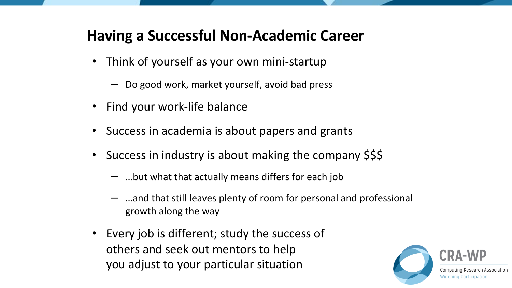#### **Having a Successful Non-Academic Career**

- Think of yourself as your own mini-startup
	- Do good work, market yourself, avoid bad press
- Find your work-life balance
- Success in academia is about papers and grants
- Success in industry is about making the company \$\$\$
	- …but what that actually means differs for each job
	- …and that still leaves plenty of room for personal and professional growth along the way
- Every job is different; study the success of others and seek out mentors to help you adjust to your particular situation